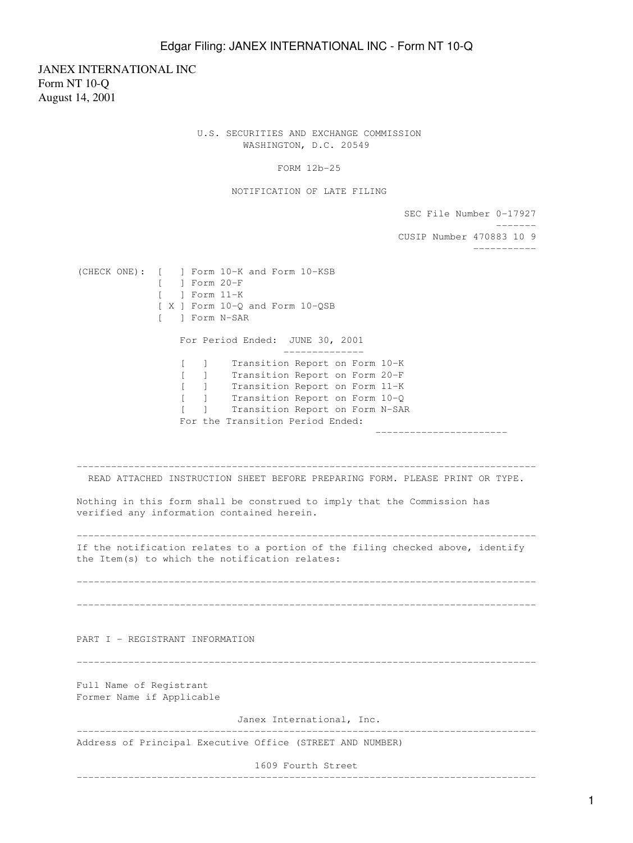## Edgar Filing: JANEX INTERNATIONAL INC - Form NT 10-Q

JANEX INTERNATIONAL INC Form NT 10-Q August 14, 2001

> U.S. SECURITIES AND EXCHANGE COMMISSION WASHINGTON, D.C. 20549

> > FORM 12b-25

NOTIFICATION OF LATE FILING

SEC File Number 0-17927

 ------- CUSIP Number 470883 10 9 ----------- (CHECK ONE): [ ] Form 10-K and Form 10-KSB [ ] Form 20-F [ ] Form 11-K [ X ] Form 10-Q and Form 10-QSB [ ] Form N-SAR For Period Ended: JUNE 30, 2001 -------------- [ ] Transition Report on Form 10-K [ ] Transition Report on Form 20-F [ ] Transition Report on Form 11-K [ ] Transition Report on Form 10-Q [ ] Transition Report on Form N-SAR For the Transition Period Ended: ----------------------- -------------------------------------------------------------------------------- READ ATTACHED INSTRUCTION SHEET BEFORE PREPARING FORM. PLEASE PRINT OR TYPE. Nothing in this form shall be construed to imply that the Commission has verified any information contained herein. -------------------------------------------------------------------------------- If the notification relates to a portion of the filing checked above, identify the Item(s) to which the notification relates: -------------------------------------------------------------------------------- -------------------------------------------------------------------------------- PART I - REGISTRANT INFORMATION -------------------------------------------------------------------------------- Full Name of Registrant Former Name if Applicable Janex International, Inc. -------------------------------------------------------------------------------- Address of Principal Executive Office (STREET AND NUMBER) 1609 Fourth Street --------------------------------------------------------------------------------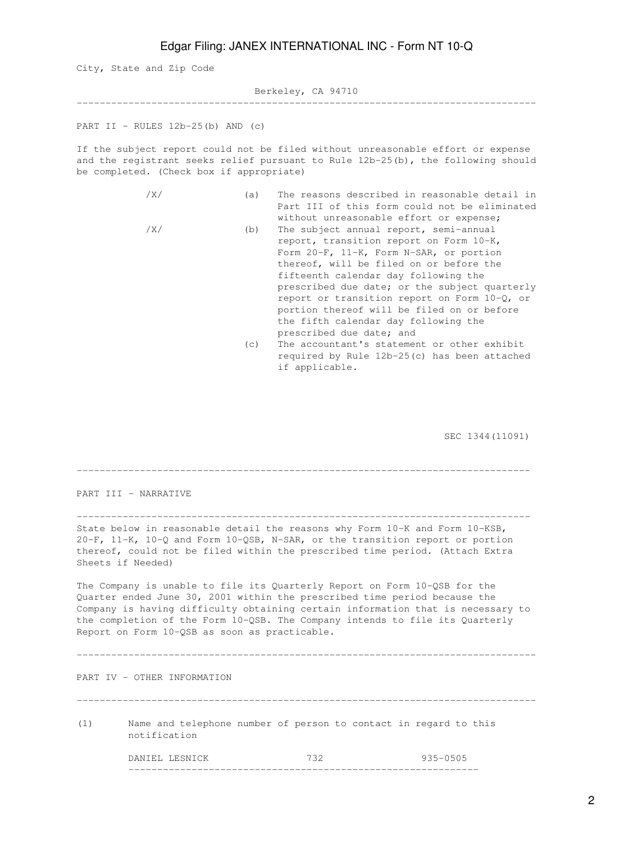## Edgar Filing: JANEX INTERNATIONAL INC - Form NT 10-Q

City, State and Zip Code

Berkeley, CA 94710

--------------------------------------------------------------------------------

PART II - RULES  $12b-25(b)$  AND  $(c)$ 

If the subject report could not be filed without unreasonable effort or expense and the registrant seeks relief pursuant to Rule 12b-25(b), the following should be completed. (Check box if appropriate)

- /X/ (a) The reasons described in reasonable detail in Part III of this form could not be eliminated without unreasonable effort or expense;
- /X/ (b) The subject annual report, semi-annual report, transition report on Form 10-K, Form 20-F, 11-K, Form N-SAR, or portion thereof, will be filed on or before the fifteenth calendar day following the prescribed due date; or the subject quarterly report or transition report on Form 10-Q, or portion thereof will be filed on or before the fifth calendar day following the prescribed due date; and
	- (c) The accountant's statement or other exhibit required by Rule 12b-25(c) has been attached if applicable.

SEC 1344(11091)

| PART III - NARRATIVE                                                                                                                                                                                                                                                                                                                                                       |                                                                                  |     |              |
|----------------------------------------------------------------------------------------------------------------------------------------------------------------------------------------------------------------------------------------------------------------------------------------------------------------------------------------------------------------------------|----------------------------------------------------------------------------------|-----|--------------|
| State below in reasonable detail the reasons why Form 10-K and Form 10-KSB,<br>20-F, 11-K, 10-Q and Form 10-QSB, N-SAR, or the transition report or portion<br>thereof, could not be filed within the prescribed time period. (Attach Extra<br>Sheets if Needed)                                                                                                           |                                                                                  |     |              |
| The Company is unable to file its Quarterly Report on Form 10-QSB for the<br>Quarter ended June 30, 2001 within the prescribed time period because the<br>Company is having difficulty obtaining certain information that is necessary to<br>the completion of the Form 10-QSB. The Company intends to file its Quarterly<br>Report on Form 10-QSB as soon as practicable. |                                                                                  |     |              |
| PART IV - OTHER INFORMATION                                                                                                                                                                                                                                                                                                                                                |                                                                                  |     |              |
| (1)                                                                                                                                                                                                                                                                                                                                                                        | Name and telephone number of person to contact in regard to this<br>notification |     |              |
|                                                                                                                                                                                                                                                                                                                                                                            | DANIEL LESNICK                                                                   | 732 | $935 - 0505$ |